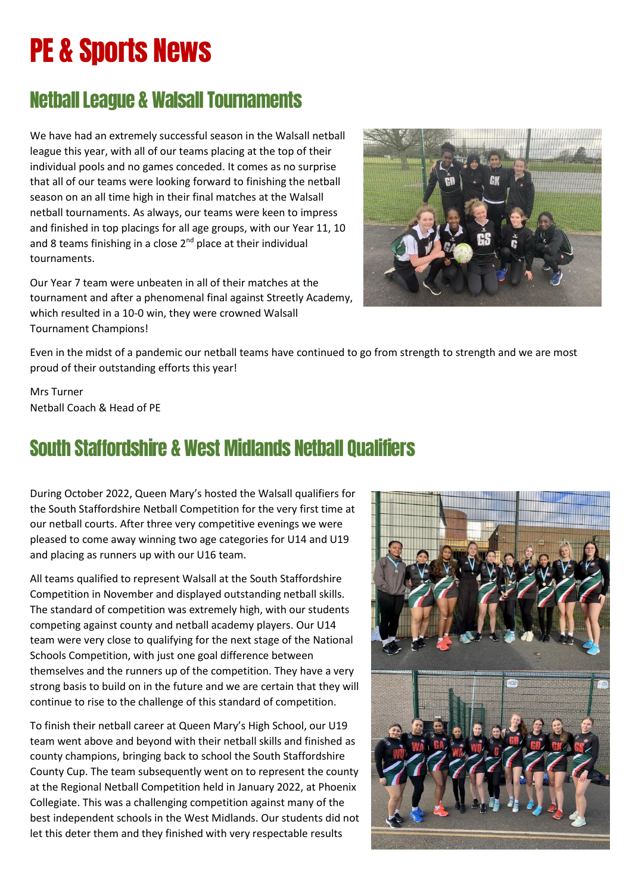# PE & Sports News

### Netball League & Walsall Tournaments

We have had an extremely successful season in the Walsall netball league this year, with all of our teams placing at the top of their individual pools and no games conceded. It comes as no surprise that all of our teams were looking forward to finishing the netball season on an all time high in their final matches at the Walsall netball tournaments. As always, our teams were keen to impress and finished in top placings for all age groups, with our Year 11, 10 and 8 teams finishing in a close  $2^{nd}$  place at their individual tournaments.

Our Year 7 team were unbeaten in all of their matches at the tournament and after a phenomenal final against Streetly Academy, which resulted in a 10-0 win, they were crowned Walsall Tournament Champions!



Even in the midst of a pandemic our netball teams have continued to go from strength to strength and we are most proud of their outstanding efforts this year!

Mrs Turner Netball Coach & Head of PE

### South Staffordshire & West Midlands Netball Qualifiers

During October 2022, Queen Mary's hosted the Walsall qualifiers for the South Staffordshire Netball Competition for the very first time at our netball courts. After three very competitive evenings we were pleased to come away winning two age categories for U14 and U19 and placing as runners up with our U16 team.

All teams qualified to represent Walsall at the South Staffordshire Competition in November and displayed outstanding netball skills. The standard of competition was extremely high, with our students competing against county and netball academy players. Our U14 team were very close to qualifying for the next stage of the National Schools Competition, with just one goal difference between themselves and the runners up of the competition. They have a very strong basis to build on in the future and we are certain that they will continue to rise to the challenge of this standard of competition.

To finish their netball career at Queen Mary's High School, our U19 team went above and beyond with their netball skills and finished as county champions, bringing back to school the South Staffordshire County Cup. The team subsequently went on to represent the county at the Regional Netball Competition held in January 2022, at Phoenix Collegiate. This was a challenging competition against many of the best independent schools in the West Midlands. Our students did not let this deter them and they finished with very respectable results

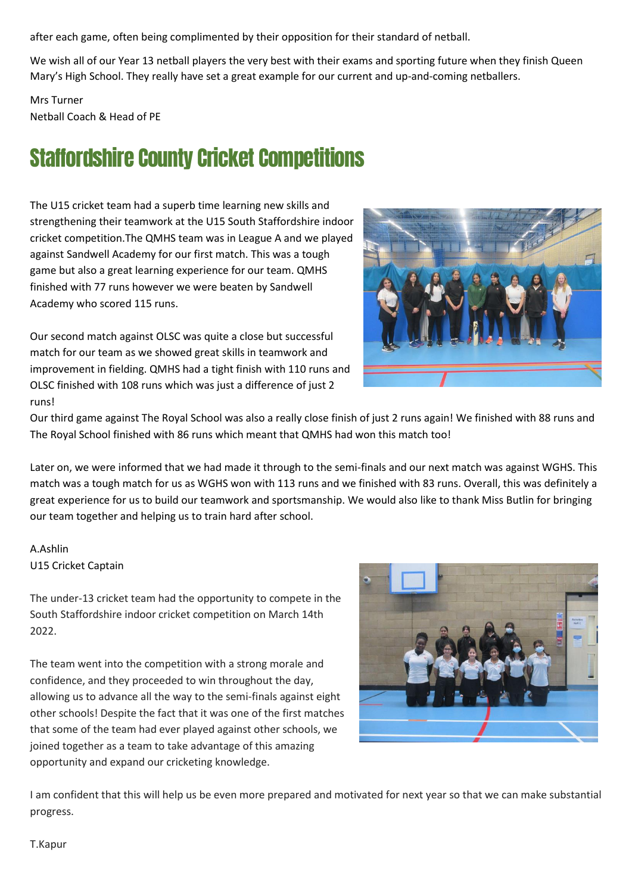after each game, often being complimented by their opposition for their standard of netball.

We wish all of our Year 13 netball players the very best with their exams and sporting future when they finish Queen Mary's High School. They really have set a great example for our current and up-and-coming netballers.

Mrs Turner Netball Coach & Head of PE

## Staffordshire County Cricket Competitions

The U15 cricket team had a superb time learning new skills and strengthening their teamwork at the U15 South Staffordshire indoor cricket competition.The QMHS team was in League A and we played against Sandwell Academy for our first match. This was a tough game but also a great learning experience for our team. QMHS finished with 77 runs however we were beaten by Sandwell Academy who scored 115 runs.

Our second match against OLSC was quite a close but successful match for our team as we showed great skills in teamwork and improvement in fielding. QMHS had a tight finish with 110 runs and OLSC finished with 108 runs which was just a difference of just 2 runs!



Our third game against The Royal School was also a really close finish of just 2 runs again! We finished with 88 runs and The Royal School finished with 86 runs which meant that QMHS had won this match too!

Later on, we were informed that we had made it through to the semi-finals and our next match was against WGHS. This match was a tough match for us as WGHS won with 113 runs and we finished with 83 runs. Overall, this was definitely a great experience for us to build our teamwork and sportsmanship. We would also like to thank Miss Butlin for bringing our team together and helping us to train hard after school.

#### A.Ashlin U15 Cricket Captain

The under-13 cricket team had the opportunity to compete in the South Staffordshire indoor cricket competition on March 14th 2022.

The team went into the competition with a strong morale and confidence, and they proceeded to win throughout the day, allowing us to advance all the way to the semi-finals against eight other schools! Despite the fact that it was one of the first matches that some of the team had ever played against other schools, we joined together as a team to take advantage of this amazing opportunity and expand our cricketing knowledge.



I am confident that this will help us be even more prepared and motivated for next year so that we can make substantial progress.